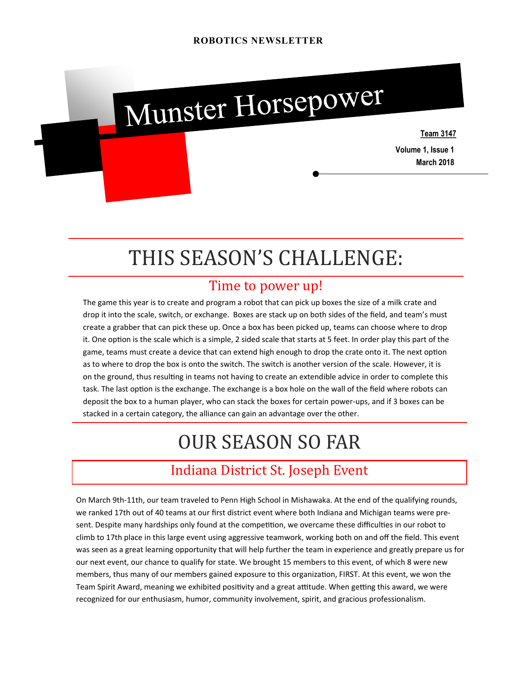

# THIS SEASON'S CHALLENGE:

#### Time to power up!

The game this year is to create and program a robot that can pick up boxes the size of a milk crate and drop it into the scale, switch, or exchange. Boxes are stack up on both sides of the field, and team's must create a grabber that can pick these up. Once a box has been picked up, teams can choose where to drop it. One option is the scale which is a simple, 2 sided scale that starts at 5 feet. In order play this part of the game, teams must create a device that can extend high enough to drop the crate onto it. The next option as to where to drop the box is onto the switch. The switch is another version of the scale. However, it is on the ground, thus resulting in teams not having to create an extendible advice in order to complete this task. The last option is the exchange. The exchange is a box hole on the wall of the field where robots can deposit the box to a human player, who can stack the boxes for certain power-ups, and if 3 boxes can be stacked in a certain category, the alliance can gain an advantage over the other.

## OUR SEASON SO FAR

### Indiana District St. Joseph Event

On March 9th-11th, our team traveled to Penn High School in Mishawaka. At the end of the qualifying rounds, we ranked 17th out of 40 teams at our first district event where both Indiana and Michigan teams were present. Despite many hardships only found at the competition, we overcame these difficulties in our robot to climb to 17th place in this large event using aggressive teamwork, working both on and off the field. This event was seen as a great learning opportunity that will help further the team in experience and greatly prepare us for our next event, our chance to qualify for state. We brought 15 members to this event, of which 8 were new members, thus many of our members gained exposure to this organization, FIRST. At this event, we won the Team Spirit Award, meaning we exhibited positivity and a great attitude. When getting this award, we were recognized for our enthusiasm, humor, community involvement, spirit, and gracious professionalism.